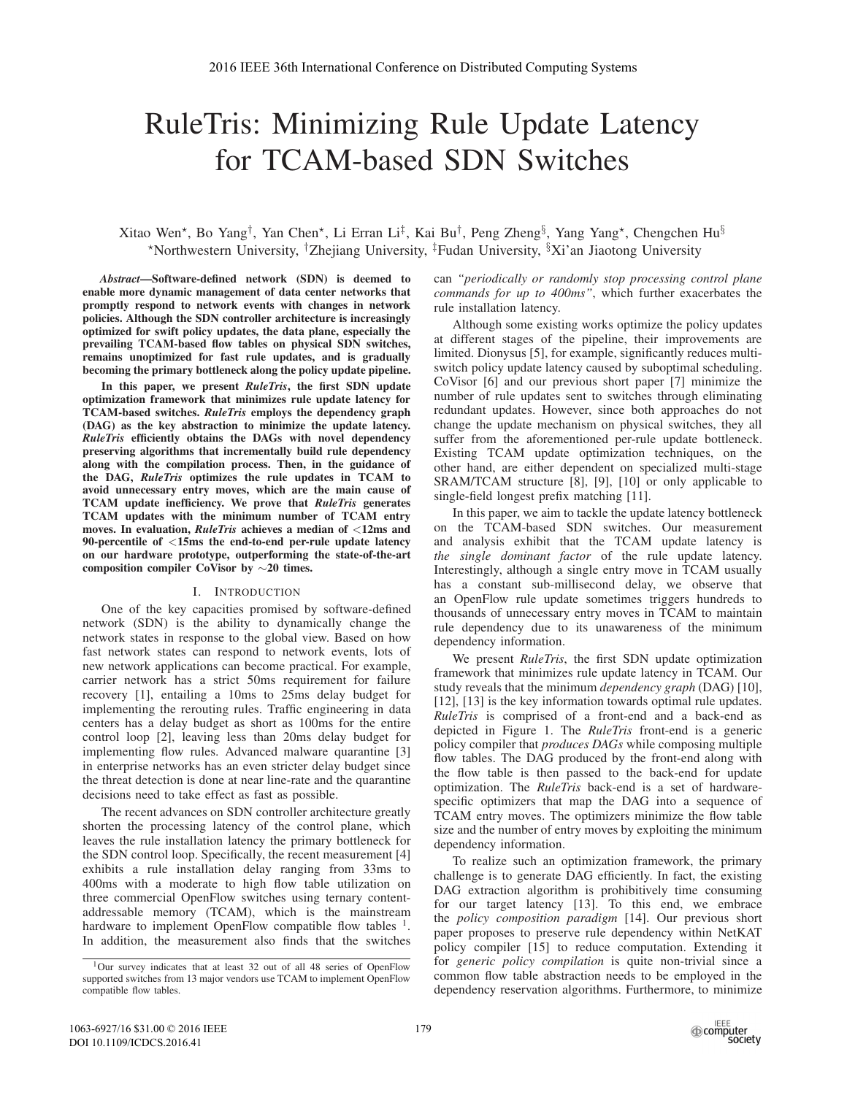# RuleTris: Minimizing Rule Update Latency for TCAM-based SDN Switches

# Xitao Wen\*, Bo Yang<sup>†</sup>, Yan Chen\*, Li Erran Li<sup>‡</sup>, Kai Bu<sup>†</sup>, Peng Zheng<sup>§</sup>, Yang Yang\*, Chengchen Hu<sup>§</sup> \*Northwestern University, <sup>†</sup>Zhejiang University, <sup>‡</sup>Fudan University,  ${}^{8}Xi$ 'an Jiaotong University

*Abstract*—Software-dened network (SDN) is deemed to enable more dynamic management of data center networks that promptly respond to network events with changes in network policies. Although the SDN controller architecture is increasingly optimized for swift policy updates, the data plane, especially the prevailing TCAM-based flow tables on physical SDN switches, remains unoptimized for fast rule updates, and is gradually becoming the primary bottleneck along the policy update pipeline.

In this paper, we present *RuleTris*, the first SDN update optimization framework that minimizes rule update latency for TCAM-based switches. *RuleTris* employs the dependency graph (DAG) as the key abstraction to minimize the update latency. *RuleTris* efficiently obtains the DAGs with novel dependency preserving algorithms that incrementally build rule dependency along with the compilation process. Then, in the guidance of the DAG, *RuleTris* optimizes the rule updates in TCAM to avoid unnecessary entry moves, which are the main cause of TCAM update inefficiency. We prove that *RuleTris* generates TCAM updates with the minimum number of TCAM entry moves. In evaluation, *RuleTris* achieves a median of <12ms and 90-percentile of <15ms the end-to-end per-rule update latency on our hardware prototype, outperforming the state-of-the-art composition compiler CoVisor by  $\sim$  20 times.

# I. INTRODUCTION

One of the key capacities promised by software-defined network (SDN) is the ability to dynamically change the network states in response to the global view. Based on how fast network states can respond to network events, lots of new network applications can become practical. For example, carrier network has a strict 50ms requirement for failure recovery [1], entailing a 10ms to 25ms delay budget for implementing the rerouting rules. Traffic engineering in data centers has a delay budget as short as 100ms for the entire control loop [2], leaving less than 20ms delay budget for implementing flow rules. Advanced malware quarantine [3] in enterprise networks has an even stricter delay budget since the threat detection is done at near line-rate and the quarantine decisions need to take effect as fast as possible.

The recent advances on SDN controller architecture greatly shorten the processing latency of the control plane, which leaves the rule installation latency the primary bottleneck for the SDN control loop. Specifically, the recent measurement [4] exhibits a rule installation delay ranging from 33ms to 400ms with a moderate to high flow table utilization on three commercial OpenFlow switches using ternary contentaddressable memory (TCAM), which is the mainstream hardware to implement OpenFlow compatible flow tables  $<sup>1</sup>$ .</sup> In addition, the measurement also finds that the switches can *"periodically or randomly stop processing control plane commands for up to 400ms"*, which further exacerbates the rule installation latency.

Although some existing works optimize the policy updates at different stages of the pipeline, their improvements are limited. Dionysus [5], for example, significantly reduces multiswitch policy update latency caused by suboptimal scheduling. CoVisor [6] and our previous short paper [7] minimize the number of rule updates sent to switches through eliminating redundant updates. However, since both approaches do not change the update mechanism on physical switches, they all suffer from the aforementioned per-rule update bottleneck. Existing TCAM update optimization techniques, on the other hand, are either dependent on specialized multi-stage SRAM/TCAM structure [8], [9], [10] or only applicable to single-field longest prefix matching [11].

In this paper, we aim to tackle the update latency bottleneck on the TCAM-based SDN switches. Our measurement and analysis exhibit that the TCAM update latency is *the single dominant factor* of the rule update latency. Interestingly, although a single entry move in TCAM usually has a constant sub-millisecond delay, we observe that an OpenFlow rule update sometimes triggers hundreds to thousands of unnecessary entry moves in TCAM to maintain rule dependency due to its unawareness of the minimum dependency information.

We present *RuleTris*, the first SDN update optimization framework that minimizes rule update latency in TCAM. Our study reveals that the minimum *dependency graph* (DAG) [10], [12], [13] is the key information towards optimal rule updates. *RuleTris* is comprised of a front-end and a back-end as depicted in Figure 1. The *RuleTris* front-end is a generic policy compiler that *produces DAGs* while composing multiple flow tables. The DAG produced by the front-end along with the flow table is then passed to the back-end for update optimization. The *RuleTris* back-end is a set of hardwarespecific optimizers that map the DAG into a sequence of TCAM entry moves. The optimizers minimize the flow table size and the number of entry moves by exploiting the minimum dependency information.

To realize such an optimization framework, the primary challenge is to generate DAG efficiently. In fact, the existing DAG extraction algorithm is prohibitively time consuming for our target latency [13]. To this end, we embrace the *policy composition paradigm* [14]. Our previous short paper proposes to preserve rule dependency within NetKAT policy compiler [15] to reduce computation. Extending it for *generic policy compilation* is quite non-trivial since a common flow table abstraction needs to be employed in the dependency reservation algorithms. Furthermore, to minimize

<sup>1</sup>Our survey indicates that at least 32 out of all 48 series of OpenFlow supported switches from 13 major vendors use TCAM to implement OpenFlow compatible flow tables.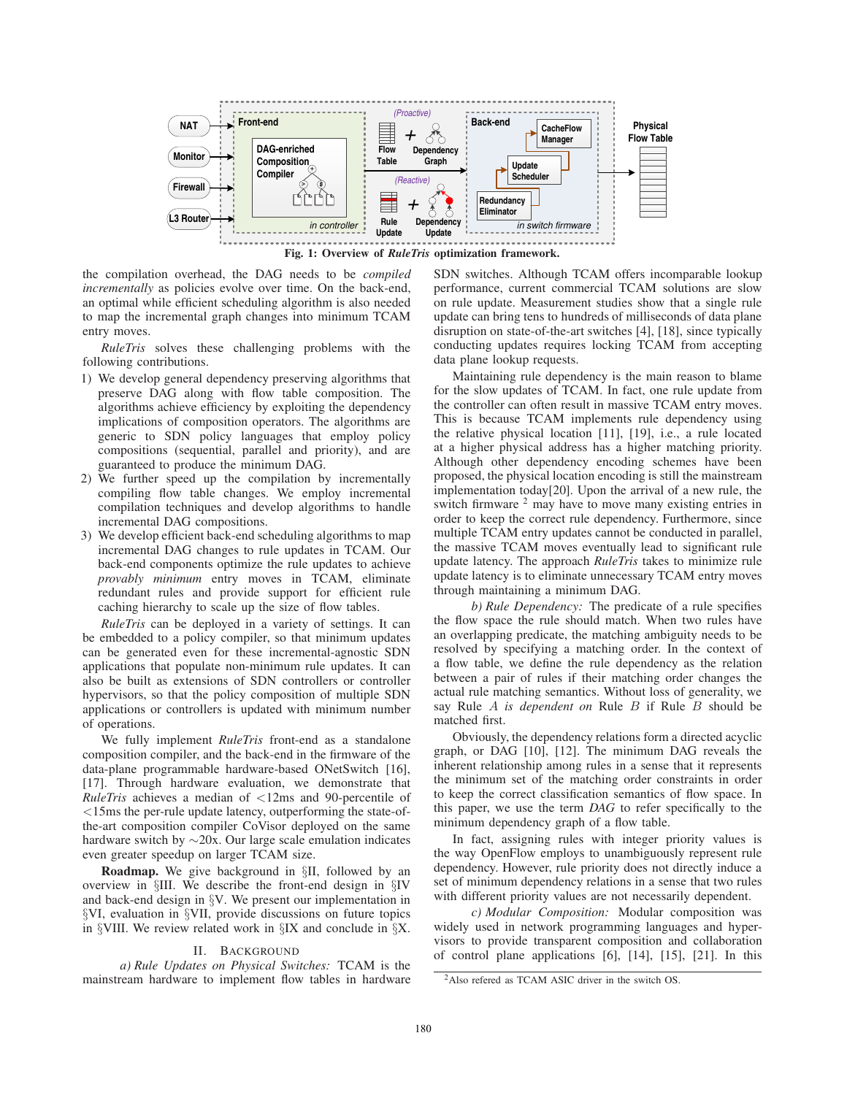

the compilation overhead, the DAG needs to be *compiled incrementally* as policies evolve over time. On the back-end, an optimal while efficient scheduling algorithm is also needed to map the incremental graph changes into minimum TCAM entry moves.

*RuleTris* solves these challenging problems with the following contributions.

- 1) We develop general dependency preserving algorithms that preserve DAG along with flow table composition. The algorithms achieve efficiency by exploiting the dependency implications of composition operators. The algorithms are generic to SDN policy languages that employ policy compositions (sequential, parallel and priority), and are guaranteed to produce the minimum DAG.
- 2) We further speed up the compilation by incrementally compiling flow table changes. We employ incremental compilation techniques and develop algorithms to handle incremental DAG compositions.
- 3) We develop efficient back-end scheduling algorithms to map incremental DAG changes to rule updates in TCAM. Our back-end components optimize the rule updates to achieve *provably minimum* entry moves in TCAM, eliminate redundant rules and provide support for efficient rule caching hierarchy to scale up the size of flow tables.

*RuleTris* can be deployed in a variety of settings. It can be embedded to a policy compiler, so that minimum updates can be generated even for these incremental-agnostic SDN applications that populate non-minimum rule updates. It can also be built as extensions of SDN controllers or controller hypervisors, so that the policy composition of multiple SDN applications or controllers is updated with minimum number of operations.

We fully implement *RuleTris* front-end as a standalone composition compiler, and the back-end in the firmware of the data-plane programmable hardware-based ONetSwitch [16], [17]. Through hardware evaluation, we demonstrate that *RuleTris* achieves a median of <12ms and 90-percentile of <15ms the per-rule update latency, outperforming the state-ofthe-art composition compiler CoVisor deployed on the same hardware switch by  $\sim 20x$ . Our large scale emulation indicates even greater speedup on larger TCAM size.

**Roadmap.** We give background in §II, followed by an overview in §III. We describe the front-end design in §IV and back-end design in §V. We present our implementation in §VI, evaluation in §VII, provide discussions on future topics in §VIII. We review related work in §IX and conclude in §X.

# II. BACKGROUND

*a) Rule Updates on Physical Switches:* TCAM is the mainstream hardware to implement flow tables in hardware

SDN switches. Although TCAM offers incomparable lookup performance, current commercial TCAM solutions are slow on rule update. Measurement studies show that a single rule update can bring tens to hundreds of milliseconds of data plane disruption on state-of-the-art switches [4], [18], since typically conducting updates requires locking TCAM from accepting data plane lookup requests.

Maintaining rule dependency is the main reason to blame for the slow updates of TCAM. In fact, one rule update from the controller can often result in massive TCAM entry moves. This is because TCAM implements rule dependency using the relative physical location [11], [19], i.e., a rule located at a higher physical address has a higher matching priority. Although other dependency encoding schemes have been proposed, the physical location encoding is still the mainstream implementation today[20]. Upon the arrival of a new rule, the switch firmware <sup>2</sup> may have to move many existing entries in order to keep the correct rule dependency. Furthermore, since multiple TCAM entry updates cannot be conducted in parallel, the massive TCAM moves eventually lead to significant rule update latency. The approach *RuleTris* takes to minimize rule update latency is to eliminate unnecessary TCAM entry moves through maintaining a minimum DAG.

*b)* Rule Dependency: The predicate of a rule specifies the flow space the rule should match. When two rules have an overlapping predicate, the matching ambiguity needs to be resolved by specifying a matching order. In the context of a flow table, we define the rule dependency as the relation between a pair of rules if their matching order changes the actual rule matching semantics. Without loss of generality, we say Rule A *is dependent on* Rule B if Rule B should be matched first.

Obviously, the dependency relations form a directed acyclic graph, or DAG [10], [12]. The minimum DAG reveals the inherent relationship among rules in a sense that it represents the minimum set of the matching order constraints in order to keep the correct classification semantics of flow space. In this paper, we use the term *DAG* to refer specifically to the minimum dependency graph of a flow table.

In fact, assigning rules with integer priority values is the way OpenFlow employs to unambiguously represent rule dependency. However, rule priority does not directly induce a set of minimum dependency relations in a sense that two rules with different priority values are not necessarily dependent.

*c) Modular Composition:* Modular composition was widely used in network programming languages and hypervisors to provide transparent composition and collaboration of control plane applications [6], [14], [15], [21]. In this

<sup>2</sup>Also refered as TCAM ASIC driver in the switch OS.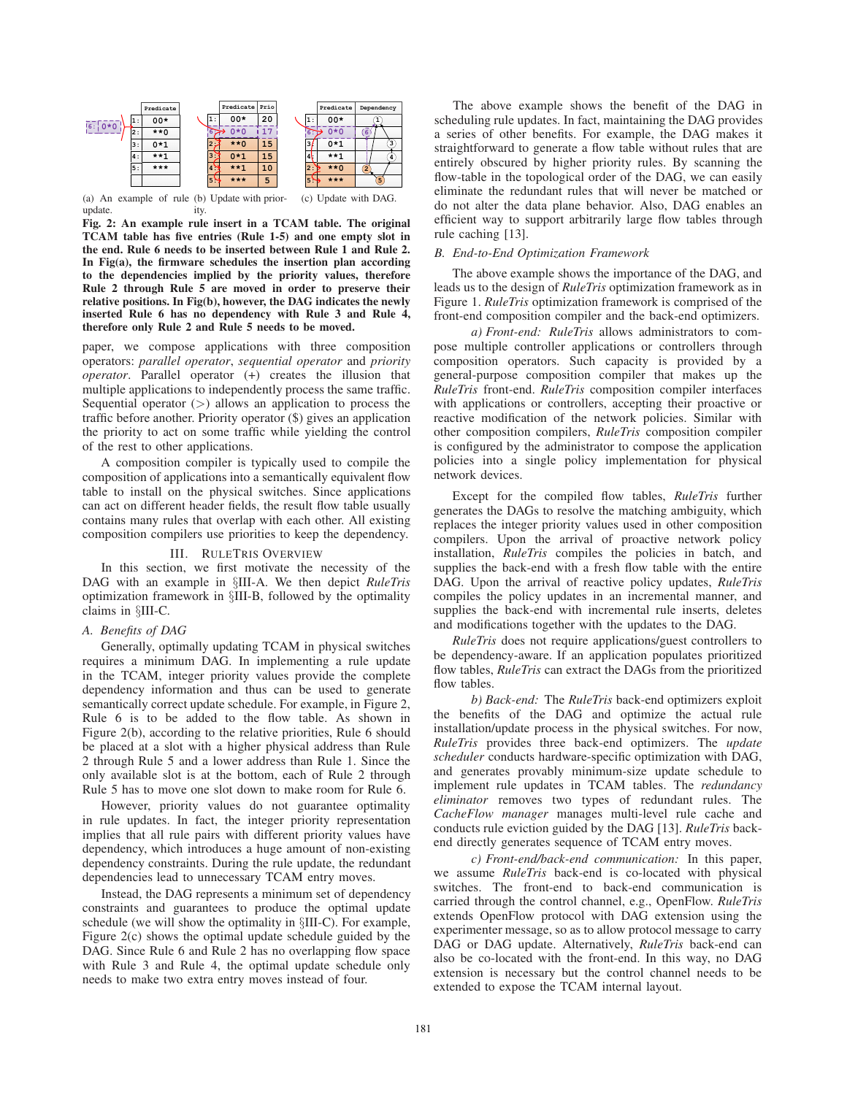

(a) An example of rule (b) Update with priorupdate. ity. (c) Update with DAG.

Fig. 2: An example rule insert in a TCAM table. The original TCAM table has five entries (Rule 1-5) and one empty slot in the end. Rule 6 needs to be inserted between Rule 1 and Rule 2. In Fig(a), the firmware schedules the insertion plan according to the dependencies implied by the priority values, therefore Rule 2 through Rule 5 are moved in order to preserve their relative positions. In Fig(b), however, the DAG indicates the newly inserted Rule 6 has no dependency with Rule 3 and Rule 4, therefore only Rule 2 and Rule 5 needs to be moved.

paper, we compose applications with three composition operators: *parallel operator*, *sequential operator* and *priority operator*. Parallel operator (+) creates the illusion that multiple applications to independently process the same traffic. Sequential operator  $(>)$  allows an application to process the traffic before another. Priority operator  $(\$)$  gives an application the priority to act on some traffic while yielding the control of the rest to other applications.

A composition compiler is typically used to compile the composition of applications into a semantically equivalent flow table to install on the physical switches. Since applications can act on different header fields, the result flow table usually contains many rules that overlap with each other. All existing composition compilers use priorities to keep the dependency.

# III. RULETRIS OVERVIEW

In this section, we first motivate the necessity of the DAG with an example in §III-A. We then depict *RuleTris* optimization framework in §III-B, followed by the optimality claims in §III-C.

#### *A. Benets of DAG*

Generally, optimally updating TCAM in physical switches requires a minimum DAG. In implementing a rule update in the TCAM, integer priority values provide the complete dependency information and thus can be used to generate semantically correct update schedule. For example, in Figure 2, Rule 6 is to be added to the flow table. As shown in Figure 2(b), according to the relative priorities, Rule 6 should be placed at a slot with a higher physical address than Rule 2 through Rule 5 and a lower address than Rule 1. Since the only available slot is at the bottom, each of Rule 2 through Rule 5 has to move one slot down to make room for Rule 6.

However, priority values do not guarantee optimality in rule updates. In fact, the integer priority representation implies that all rule pairs with different priority values have dependency, which introduces a huge amount of non-existing dependency constraints. During the rule update, the redundant dependencies lead to unnecessary TCAM entry moves.

Instead, the DAG represents a minimum set of dependency constraints and guarantees to produce the optimal update schedule (we will show the optimality in §III-C). For example, Figure 2(c) shows the optimal update schedule guided by the DAG. Since Rule 6 and Rule 2 has no overlapping flow space with Rule 3 and Rule 4, the optimal update schedule only needs to make two extra entry moves instead of four.

The above example shows the benefit of the DAG in scheduling rule updates. In fact, maintaining the DAG provides a series of other benefits. For example, the DAG makes it straightforward to generate a flow table without rules that are entirely obscured by higher priority rules. By scanning the flow-table in the topological order of the DAG, we can easily eliminate the redundant rules that will never be matched or do not alter the data plane behavior. Also, DAG enables an efficient way to support arbitrarily large flow tables through rule caching [13].

# *B. End-to-End Optimization Framework*

The above example shows the importance of the DAG, and leads us to the design of *RuleTris* optimization framework as in Figure 1. *RuleTris* optimization framework is comprised of the front-end composition compiler and the back-end optimizers.

*a) Front-end: RuleTris* allows administrators to compose multiple controller applications or controllers through composition operators. Such capacity is provided by a general-purpose composition compiler that makes up the *RuleTris* front-end. *RuleTris* composition compiler interfaces with applications or controllers, accepting their proactive or reactive modification of the network policies. Similar with other composition compilers, *RuleTris* composition compiler is configured by the administrator to compose the application policies into a single policy implementation for physical network devices.

Except for the compiled flow tables, *RuleTris* further generates the DAGs to resolve the matching ambiguity, which replaces the integer priority values used in other composition compilers. Upon the arrival of proactive network policy installation, *RuleTris* compiles the policies in batch, and supplies the back-end with a fresh flow table with the entire DAG. Upon the arrival of reactive policy updates, *RuleTris* compiles the policy updates in an incremental manner, and supplies the back-end with incremental rule inserts, deletes and modifications together with the updates to the DAG.

*RuleTris* does not require applications/guest controllers to be dependency-aware. If an application populates prioritized flow tables, *RuleTris* can extract the DAGs from the prioritized flow tables.

*b) Back-end:* The *RuleTris* back-end optimizers exploit the benefits of the DAG and optimize the actual rule installation/update process in the physical switches. For now, *RuleTris* provides three back-end optimizers. The *update scheduler* conducts hardware-specific optimization with DAG, and generates provably minimum-size update schedule to implement rule updates in TCAM tables. The *redundancy eliminator* removes two types of redundant rules. The *CacheFlow manager* manages multi-level rule cache and conducts rule eviction guided by the DAG [13]. *RuleTris* backend directly generates sequence of TCAM entry moves.

*c) Front-end/back-end communication:* In this paper, we assume *RuleTris* back-end is co-located with physical switches. The front-end to back-end communication is carried through the control channel, e.g., OpenFlow. *RuleTris* extends OpenFlow protocol with DAG extension using the experimenter message, so as to allow protocol message to carry DAG or DAG update. Alternatively, *RuleTris* back-end can also be co-located with the front-end. In this way, no DAG extension is necessary but the control channel needs to be extended to expose the TCAM internal layout.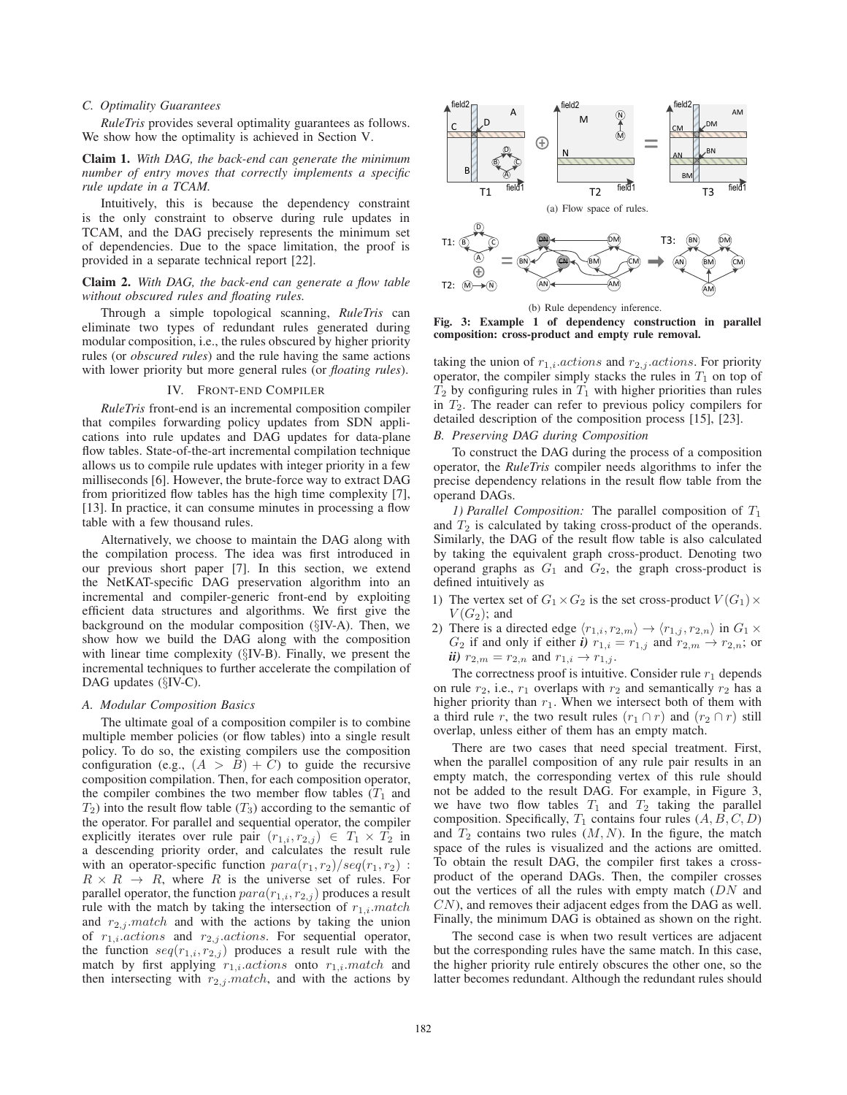# *C. Optimality Guarantees*

*RuleTris* provides several optimality guarantees as follows. We show how the optimality is achieved in Section V.

Claim 1. *With DAG, the back-end can generate the minimum number of entry moves that correctly implements a specic rule update in a TCAM.*

Intuitively, this is because the dependency constraint is the only constraint to observe during rule updates in TCAM, and the DAG precisely represents the minimum set of dependencies. Due to the space limitation, the proof is provided in a separate technical report [22].

# Claim 2. With DAG, the back-end can generate a flow table without obscured rules and floating rules.

Through a simple topological scanning, *RuleTris* can eliminate two types of redundant rules generated during modular composition, i.e., the rules obscured by higher priority rules (or *obscured rules*) and the rule having the same actions with lower priority but more general rules (or *floating rules*).

#### IV. FRONT-END COMPILER

*RuleTris* front-end is an incremental composition compiler that compiles forwarding policy updates from SDN applications into rule updates and DAG updates for data-plane flow tables. State-of-the-art incremental compilation technique allows us to compile rule updates with integer priority in a few milliseconds [6]. However, the brute-force way to extract DAG from prioritized flow tables has the high time complexity [7], [13]. In practice, it can consume minutes in processing a flow table with a few thousand rules.

Alternatively, we choose to maintain the DAG along with the compilation process. The idea was first introduced in our previous short paper [7]. In this section, we extend the NetKAT-specific DAG preservation algorithm into an incremental and compiler-generic front-end by exploiting efficient data structures and algorithms. We first give the background on the modular composition (§IV-A). Then, we show how we build the DAG along with the composition with linear time complexity (§IV-B). Finally, we present the incremental techniques to further accelerate the compilation of DAG updates (§IV-C).

# *A. Modular Composition Basics*

The ultimate goal of a composition compiler is to combine multiple member policies (or flow tables) into a single result policy. To do so, the existing compilers use the composition configuration (e.g.,  $(A > B) + C$ ) to guide the recursive composition compilation. Then, for each composition operator, the compiler combines the two member flow tables  $(T_1$  and  $T_2$ ) into the result flow table  $(T_2)$  according to the semantic of  $T_2$ ) into the result flow table  $(T_3)$  according to the semantic of the operator. For parallel and sequential operator the compiler the operator. For parallel and sequential operator, the compiler explicitly iterates over rule pair  $(r_{1,i}, r_{2,j}) \in T_1 \times T_2$  in<br>a descending priority order and calculates the result rule a descending priority order, and calculates the result rule with an operator-specific function  $para(r_1, r_2)/seq(r_1, r_2)$ :  $R \times R \rightarrow R$ , where R is the universe set of rules. For parallel operator, the function  $para(r_{1,i}, r_{2,j})$  produces a result rule with the match by taking the intersection of  $r_{1,i}$ . match and  $r_{2,i}$  *match* and with the actions by taking the union of  $r_{1,i}.actions$  and  $r_{2,j}.actions$ . For sequential operator, the function  $seq(r_{1,i}, r_{2,j})$  produces a result rule with the match by first applying  $r_{1,i}.actions$  onto  $r_{1,i}.match$  and then intersecting with  $r_{2,j}$  match, and with the actions by



(b) Rule dependency inference.

Fig. 3: Example 1 of dependency construction in parallel composition: cross-product and empty rule removal.

taking the union of  $r_{1,i}$  *actions* and  $r_{2,j}$  *actions*. For priority operator, the compiler simply stacks the rules in  $T_1$  on top of  $T_2$  by configuring rules in  $T_1$  with higher priorities than rules in  $T_2$ . The reader can refer to previous policy compilers for detailed description of the composition process [15], [23].

# *B. Preserving DAG during Composition*

To construct the DAG during the process of a composition operator, the *RuleTris* compiler needs algorithms to infer the precise dependency relations in the result flow table from the operand DAGs.

*1) Parallel Composition:* The parallel composition of  $T_1$ and  $T_2$  is calculated by taking cross-product of the operands. Similarly, the DAG of the result flow table is also calculated by taking the equivalent graph cross-product. Denoting two operand graphs as  $G_1$  and  $G_2$ , the graph cross-product is defined intuitively as

- 1) The vertex set of  $G_1 \times G_2$  is the set cross-product  $V(G_1) \times$  $V(G_2)$ ; and
- 2) There is a directed edge  $\langle r_{1,i}, r_{2,m} \rangle \rightarrow \langle r_{1,j}, r_{2,n} \rangle$  in  $G_1 \times$  $G_2$  if and only if either *i*)  $r_{1,i} = r_{1,j}$  and  $r_{2,m} \rightarrow r_{2,n}$ ; or *ii)*  $r_{2,m} = r_{2,n}$  and  $r_{1,i} \to r_{1,j}$ .

The correctness proof is intuitive. Consider rule  $r_1$  depends on rule  $r_2$ , i.e.,  $r_1$  overlaps with  $r_2$  and semantically  $r_2$  has a higher priority than  $r_1$ . When we intersect both of them with a third rule r, the two result rules  $(r_1 \cap r)$  and  $(r_2 \cap r)$  still overlap, unless either of them has an empty match.

There are two cases that need special treatment. First, when the parallel composition of any rule pair results in an empty match, the corresponding vertex of this rule should not be added to the result DAG. For example, in Figure 3, we have two flow tables  $T_1$  and  $T_2$  taking the parallel<br>composition Specifically  $T_1$  contains four rules  $(A, B, C, D)$ composition. Specifically,  $T_1$  contains four rules  $(A, B, C, D)$ and  $T_2$  contains two rules  $(M, N)$ . In the figure, the match space of the rules is visualized and the actions are omitted. To obtain the result DAG, the compiler first takes a crossproduct of the operand DAGs. Then, the compiler crosses out the vertices of all the rules with empty match  $(DN)$  and CN), and removes their adjacent edges from the DAG as well. Finally, the minimum DAG is obtained as shown on the right.

The second case is when two result vertices are adjacent but the corresponding rules have the same match. In this case, the higher priority rule entirely obscures the other one, so the latter becomes redundant. Although the redundant rules should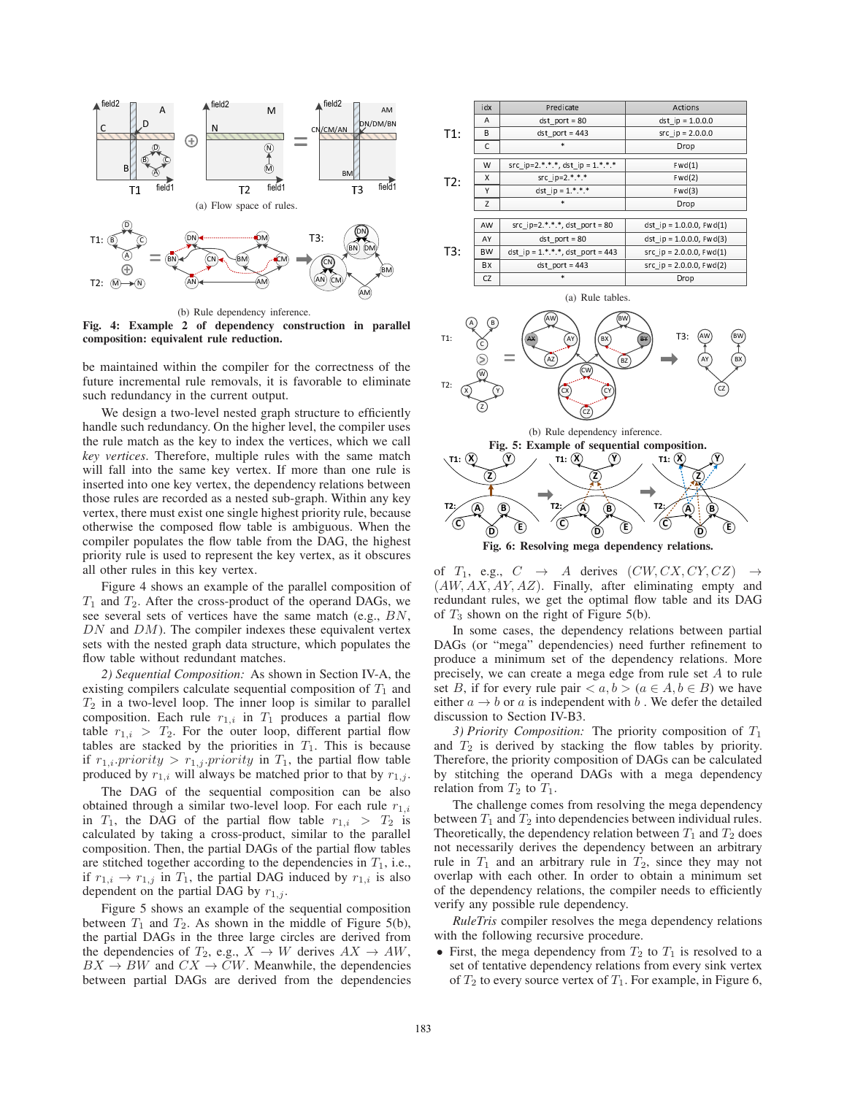

(b) Rule dependency inference.

Fig. 4: Example 2 of dependency construction in parallel composition: equivalent rule reduction.

be maintained within the compiler for the correctness of the future incremental rule removals, it is favorable to eliminate such redundancy in the current output.

We design a two-level nested graph structure to efficiently handle such redundancy. On the higher level, the compiler uses the rule match as the key to index the vertices, which we call *key vertices*. Therefore, multiple rules with the same match will fall into the same key vertex. If more than one rule is inserted into one key vertex, the dependency relations between those rules are recorded as a nested sub-graph. Within any key vertex, there must exist one single highest priority rule, because otherwise the composed flow table is ambiguous. When the compiler populates the flow table from the DAG, the highest priority rule is used to represent the key vertex, as it obscures all other rules in this key vertex.

Figure 4 shows an example of the parallel composition of  $T_1$  and  $T_2$ . After the cross-product of the operand DAGs, we see several sets of vertices have the same match (e.g., BN,  $DN$  and  $DM$ ). The compiler indexes these equivalent vertex sets with the nested graph data structure, which populates the flow table without redundant matches.

*2) Sequential Composition:* As shown in Section IV-A, the existing compilers calculate sequential composition of  $T_1$  and  $T_2$  in a two-level loop. The inner loop is similar to parallel composition. Each rule  $r_{1,i}$  in  $T_1$  produces a partial flow<br>table  $r_{1,i} > T_2$ . For the outer loop different partial flow table  $r_{1,i} > T_2$ . For the outer loop, different partial flow<br>tables are stacked by the priorities in  $T_1$ . This is because tables are stacked by the priorities in  $T_1$ . This is because if  $r_{1,i}$  priority  $>r_{1,j}$  priority in  $T_1$ , the partial flow table<br>produced by  $r_1$ , will always be matched prior to that by  $r_1$ . produced by  $r_{1,i}$  will always be matched prior to that by  $r_{1,j}$ .

The DAG of the sequential composition can be also obtained through a similar two-level loop. For each rule  $r_{1,i}$ in  $T_1$ , the DAG of the partial flow table  $r_{1,i} > T_2$  is<br>calculated by taking a cross-product similar to the parallel calculated by taking a cross-product, similar to the parallel composition. Then, the partial DAGs of the partial flow tables are stitched together according to the dependencies in  $T_1$ , i.e., if  $r_{1,i} \rightarrow r_{1,j}$  in  $T_1$ , the partial DAG induced by  $r_{1,i}$  is also dependent on the partial DAG by  $r_{1,j}$ .

Figure 5 shows an example of the sequential composition between  $T_1$  and  $T_2$ . As shown in the middle of Figure 5(b), the partial DAGs in the three large circles are derived from the dependencies of  $T_2$ , e.g.,  $X \to W$  derives  $AX \to AW$ ,  $BX \to BW$  and  $CX \to CW$ . Meanwhile, the dependencies between partial DAGs are derived from the dependencies

|     | idx       | Predicate                           | Actions                        |
|-----|-----------|-------------------------------------|--------------------------------|
| T1: | A         | $dst$ port = $80$                   | dst ip = $1.0.0.0$             |
|     | B         | $dst$ port = 443                    | $src$ ip = 2.0.0.0             |
|     | C         | $\ast$                              | Drop                           |
| T2: | W         | src ip=2.*.*.*, dst ip = $1.*.*.*$  | Fwd(1)                         |
|     | X         | src ip= $2.*.*$                     | Fwd(2)                         |
|     | Υ         | dst ip = $1.*.*$                    | Fwd(3)                         |
|     | Z         | $\ast$                              | Drop                           |
|     |           |                                     |                                |
| T3: | AW        | src ip=2.*.*.*, dst port = 80       | dst ip = $1.0.0.0$ , Fwd $(1)$ |
|     | AY        | $dst$ port = $80$                   | dst ip = $1.0.0.0$ , Fwd(3)    |
|     | <b>BW</b> | dst ip = $1.*.*.*$ , dst port = 443 | src ip = $2.0.0.0$ , Fwd $(1)$ |
|     | BX        | $dst$ port = 443                    | $src$ ip = 2.0.0.0, $Fwd(2)$   |
|     | CZ        | $\ast$                              | Drop                           |



Fig. 6: Resolving mega dependency relations.

of  $T_1$ , e.g.,  $C \rightarrow A$  derives  $(CW, CX, CY, CZ) \rightarrow (AWAXAYAZ)$  Finally after eliminating empty and  $(AW, AX, AY, AZ)$ . Finally, after eliminating empty and redundant rules we get the optimal flow table and its DAG redundant rules, we get the optimal flow table and its DAG of  $T_3$  shown on the right of Figure 5(b).

In some cases, the dependency relations between partial DAGs (or "mega" dependencies) need further refinement to produce a minimum set of the dependency relations. More precisely, we can create a mega edge from rule set A to rule set B, if for every rule pair  $\langle a, b \rangle$   $(a \in A, b \in B)$  we have<br>either  $a \to b$  or a is independent with b. We defer the detailed either  $a \rightarrow b$  or a is independent with b. We defer the detailed discussion to Section IV-B3.

*3) Priority Composition:* The priority composition of  $T_1$ and  $T_2$  is derived by stacking the flow tables by priority.<br>Therefore the priority composition of DAGs can be calculated Therefore, the priority composition of DAGs can be calculated by stitching the operand DAGs with a mega dependency relation from  $T_2$  to  $T_1$ .

The challenge comes from resolving the mega dependency between  $T_1$  and  $T_2$  into dependencies between individual rules. Theoretically, the dependency relation between  $T_1$  and  $T_2$  does not necessarily derives the dependency between an arbitrary rule in  $T_1$  and an arbitrary rule in  $T_2$ , since they may not overlap with each other. In order to obtain a minimum set of the dependency relations, the compiler needs to efficiently verify any possible rule dependency.

*RuleTris* compiler resolves the mega dependency relations with the following recursive procedure.

• First, the mega dependency from  $T_2$  to  $T_1$  is resolved to a set of tentative dependency relations from every sink vertex of  $T_2$  to every source vertex of  $T_1$ . For example, in Figure 6,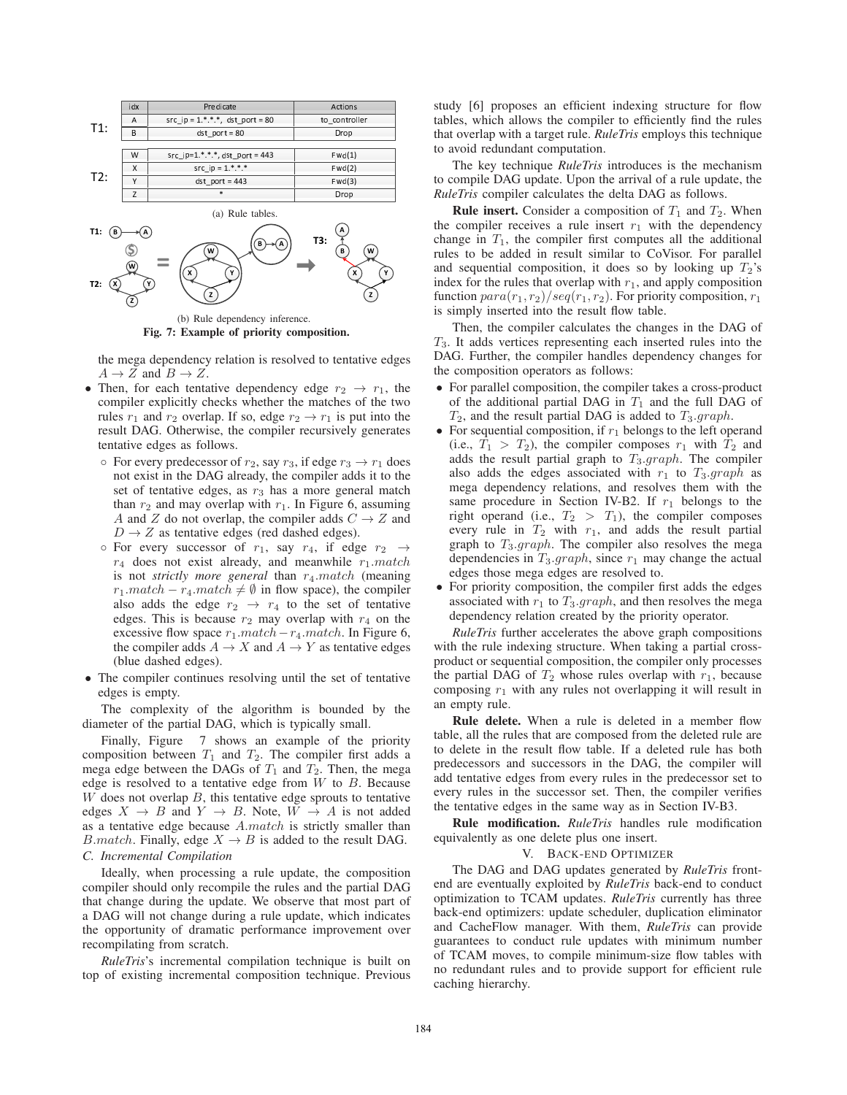

Fig. 7: Example of priority composition.

the mega dependency relation is resolved to tentative edges  $A \rightarrow Z$  and  $B \rightarrow Z$ .

- Then, for each tentative dependency edge  $r_2 \rightarrow r_1$ , the compiler explicitly checks whether the matches of the two rules  $r_1$  and  $r_2$  overlap. If so, edge  $r_2 \rightarrow r_1$  is put into the result DAG. Otherwise, the compiler recursively generates tentative edges as follows.
	- $\circ$  For every predecessor of  $r_2$ , say  $r_3$ , if edge  $r_3 \rightarrow r_1$  does not exist in the DAG already, the compiler adds it to the set of tentative edges, as  $r_3$  has a more general match than  $r_2$  and may overlap with  $r_1$ . In Figure 6, assuming A and Z do not overlap, the compiler adds  $C \rightarrow Z$  and  $D \rightarrow Z$  as tentative edges (red dashed edges).
	- $\circ$  For every successor of  $r_1$ , say  $r_4$ , if edge  $r_2 \rightarrow$  $r_4$  does not exist already, and meanwhile  $r_1$ .match is not *strictly more general* than  $r_4$ *match* (meaning  $r_1$ .*match –*  $r_4$ *.match*  $\neq \emptyset$  in flow space), the compiler also adds the edge  $r_2 \rightarrow r_4$  to the set of tentative also adds the edge  $r_2 \rightarrow r_4$  to the set of tentative edges. This is because  $r_2$  may overlap with  $r_4$  on the excessive flow space  $r_1.match - r_4.match$ . In Figure 6, the compiler adds  $A \rightarrow X$  and  $A \rightarrow Y$  as tentative edges the compiler adds  $A \to X$  and  $A \to Y$  as tentative edges (blue dashed edges).
- The compiler continues resolving until the set of tentative edges is empty.

The complexity of the algorithm is bounded by the diameter of the partial DAG, which is typically small.

Finally, Figure 7 shows an example of the priority composition between  $T_1$  and  $T_2$ . The compiler first adds a mega edge between the DAGs of  $T_1$  and  $T_2$ . Then, the mega edge is resolved to a tentative edge from  $W$  to  $B$ . Because  $W$  does not overlap  $B$ , this tentative edge sprouts to tentative edges  $X \to B$  and  $Y \to B$ . Note,  $W \to A$  is not added as a tentative edge because A.match is strictly smaller than *B.match.* Finally, edge  $X \rightarrow B$  is added to the result DAG. *C. Incremental Compilation*

Ideally, when processing a rule update, the composition compiler should only recompile the rules and the partial DAG that change during the update. We observe that most part of a DAG will not change during a rule update, which indicates the opportunity of dramatic performance improvement over recompilating from scratch.

*RuleTris*'s incremental compilation technique is built on top of existing incremental composition technique. Previous

study [6] proposes an efficient indexing structure for flow tables, which allows the compiler to efficiently find the rules that overlap with a target rule. *RuleTris* employs this technique to avoid redundant computation.

The key technique *RuleTris* introduces is the mechanism to compile DAG update. Upon the arrival of a rule update, the *RuleTris* compiler calculates the delta DAG as follows.

**Rule insert.** Consider a composition of  $T_1$  and  $T_2$ . When the compiler receives a rule insert  $r_1$  with the dependency change in  $T_1$ , the compiler first computes all the additional rules to be added in result similar to CoVisor. For parallel and sequential composition, it does so by looking up  $T_2$ 's index for the rules that overlap with  $r_1$ , and apply composition function  $para(r_1, r_2)/seq(r_1, r_2)$ . For priority composition,  $r_1$ is simply inserted into the result flow table.

Then, the compiler calculates the changes in the DAG of  $T<sub>3</sub>$ . It adds vertices representing each inserted rules into the DAG. Further, the compiler handles dependency changes for the composition operators as follows:

- For parallel composition, the compiler takes a cross-product of the additional partial DAG in  $T_1$  and the full DAG of  $T_2$ , and the result partial DAG is added to  $T_3$ .graph.
- For sequential composition, if  $r_1$  belongs to the left operand (i.e.,  $T_1 > T_2$ ), the compiler composes  $r_1$  with  $T_2$  and adds the result partial graph to  $T_3$ .graph. The compiler also adds the edges associated with  $r_1$  to  $T_3$ .graph as mega dependency relations, and resolves them with the same procedure in Section IV-B2. If  $r_1$  belongs to the right operand (i.e.,  $T_2 > T_1$ ), the compiler composes every rule in  $T_2$  with  $r_1$ , and adds the result partial graph to  $T_3$ .graph. The compiler also resolves the mega dependencies in  $T_3$ .graph, since  $r_1$  may change the actual edges those mega edges are resolved to.
- $\bullet$  For priority composition, the compiler first adds the edges associated with  $r_1$  to  $T_3$ .graph, and then resolves the mega dependency relation created by the priority operator.

*RuleTris* further accelerates the above graph compositions with the rule indexing structure. When taking a partial crossproduct or sequential composition, the compiler only processes the partial DAG of  $T_2$  whose rules overlap with  $r_1$ , because composing  $r_1$  with any rules not overlapping it will result in an empty rule.

**Rule delete.** When a rule is deleted in a member flow table, all the rules that are composed from the deleted rule are to delete in the result flow table. If a deleted rule has both predecessors and successors in the DAG, the compiler will add tentative edges from every rules in the predecessor set to every rules in the successor set. Then, the compiler verifies the tentative edges in the same way as in Section IV-B3.

Rule modification. RuleTris handles rule modification equivalently as one delete plus one insert.

## V. BACK-END OPTIMIZER

The DAG and DAG updates generated by *RuleTris* frontend are eventually exploited by *RuleTris* back-end to conduct optimization to TCAM updates. *RuleTris* currently has three back-end optimizers: update scheduler, duplication eliminator and CacheFlow manager. With them, *RuleTris* can provide guarantees to conduct rule updates with minimum number of TCAM moves, to compile minimum-size flow tables with no redundant rules and to provide support for efficient rule caching hierarchy.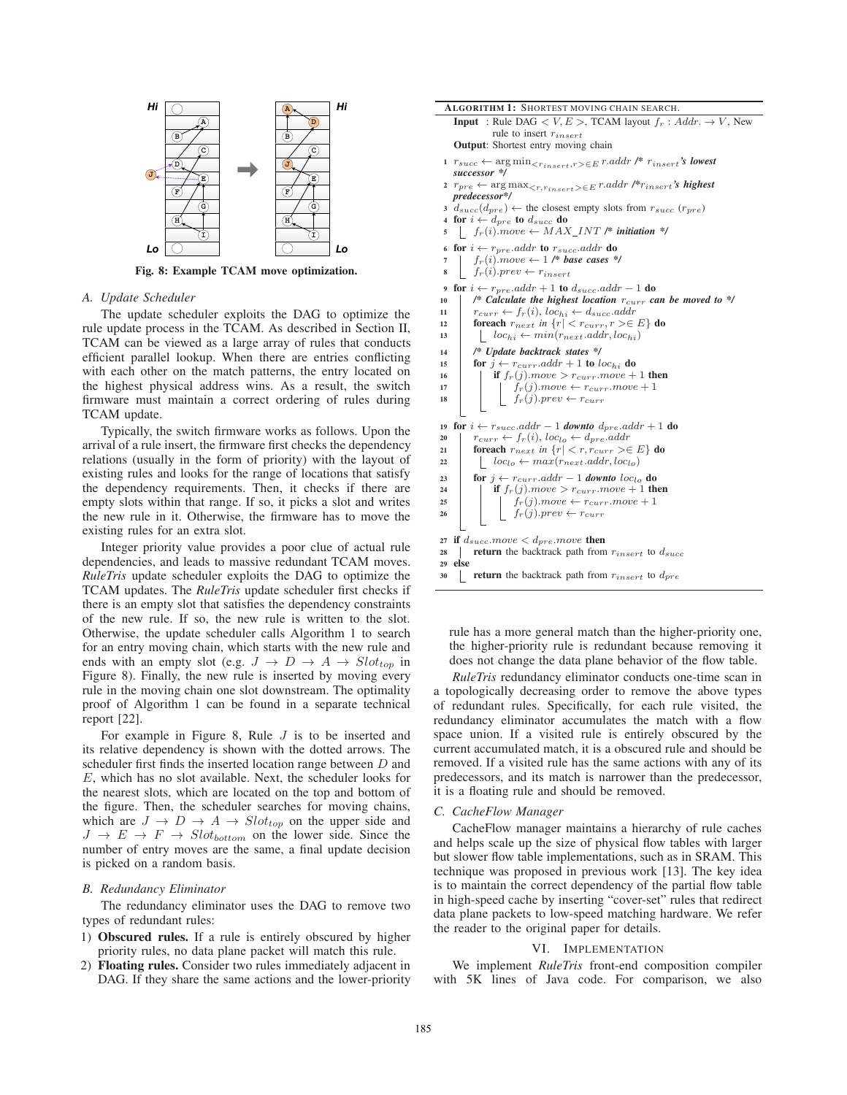

Fig. 8: Example TCAM move optimization.

# *A. Update Scheduler*

The update scheduler exploits the DAG to optimize the rule update process in the TCAM. As described in Section II, TCAM can be viewed as a large array of rules that conducts efficient parallel lookup. When there are entries conflicting with each other on the match patterns, the entry located on the highest physical address wins. As a result, the switch firmware must maintain a correct ordering of rules during TCAM update.

Typically, the switch firmware works as follows. Upon the arrival of a rule insert, the firmware first checks the dependency relations (usually in the form of priority) with the layout of existing rules and looks for the range of locations that satisfy the dependency requirements. Then, it checks if there are empty slots within that range. If so, it picks a slot and writes the new rule in it. Otherwise, the firmware has to move the existing rules for an extra slot.

Integer priority value provides a poor clue of actual rule dependencies, and leads to massive redundant TCAM moves. *RuleTris* update scheduler exploits the DAG to optimize the TCAM updates. The *RuleTris* update scheduler first checks if there is an empty slot that satisfies the dependency constraints of the new rule. If so, the new rule is written to the slot. Otherwise, the update scheduler calls Algorithm 1 to search for an entry moving chain, which starts with the new rule and ends with an empty slot (e.g.  $J \rightarrow D \rightarrow A \rightarrow Slot_{top}$  in Figure 8). Finally, the new rule is inserted by moving every rule in the moving chain one slot downstream. The optimality proof of Algorithm 1 can be found in a separate technical report [22].

For example in Figure 8, Rule  $J$  is to be inserted and its relative dependency is shown with the dotted arrows. The scheduler first finds the inserted location range between  $D$  and E, which has no slot available. Next, the scheduler looks for the nearest slots, which are located on the top and bottom of the figure. Then, the scheduler searches for moving chains, which are  $J \to D \to A \to Slot_{top}$  on the upper side and  $J \rightarrow E \rightarrow F \rightarrow Slot_{bottom}$  on the lower side. Since the number of entry moves are the same, a final update decision is picked on a random basis.

#### *B. Redundancy Eliminator*

The redundancy eliminator uses the DAG to remove two types of redundant rules:

- 1) Obscured rules. If a rule is entirely obscured by higher priority rules, no data plane packet will match this rule.
- 2) Floating rules. Consider two rules immediately adjacent in DAG. If they share the same actions and the lower-priority

| <b>Output:</b> Shortest entry moving chain                                                                                                |
|-------------------------------------------------------------------------------------------------------------------------------------------|
| 1 $r_{succ} \leftarrow \arg \min_{\{r_{insert}, r \geq \in E} r.addr \text{ } / \text{*} \ r_{insert} \text{'s lowest} }$<br>successor */ |
| $\texttt{array} \leftarrow \argmax_{ \in E} \texttt{r}.\textit{addr } \textit{f*r}_\textit{insert} \textit{'s \textbf{ highest}}$         |
| predecessor*/                                                                                                                             |
| $3 d_{succ}(d_{pre}) \leftarrow$ the closest empty slots from $r_{succ}(r_{pre})$                                                         |
| 4 for $i \leftarrow d_{pre}$ to $d_{succ}$ do                                                                                             |
| $\int f_r(i)$ move $\leftarrow$ MAX_INT /* initiation */<br>5                                                                             |
| 6 for $i \leftarrow r_{pre}.addr$ to $r_{succ}.addr$ do                                                                                   |
| $f_r(i)$ move $\leftarrow$ 1 /* base cases */<br>7                                                                                        |
| $f_r(i).prev \leftarrow r_{insert}$<br>8                                                                                                  |
| for $i \leftarrow r_{pre}.addr + 1$ to $d_{succ}.addr - 1$ do<br>9                                                                        |
| /* Calculate the highest location $r_{curr}$ can be moved to */<br>10                                                                     |
| $r_{curr} \leftarrow f_r(i), loc_{hi} \leftarrow d_{succ}.addr$<br>11                                                                     |
| foreach $r_{next}$ in $\{r \mid r \leq r_{curr}, r \geq \in E\}$ do<br>12                                                                 |
| $loc_{hi} \leftarrow min(r_{next}.addr, loc_{hi})$<br>13                                                                                  |
| /* Update backtrack states */<br>14                                                                                                       |
| for $j \leftarrow r_{curr}.addr + 1$ to $loc_{hi}$ do<br>15                                                                               |
| if $f_r(j)$ move $>$ $r_{curr}$ move $+1$ then<br>16                                                                                      |
| $f_r(j)$ move $\leftarrow r_{curr}$ move $+1$<br>17                                                                                       |
| $f_r(j).prev \leftarrow r_{curr}$<br>18                                                                                                   |
|                                                                                                                                           |
| for $i \leftarrow r_{succ}.addr - 1$ downto $d_{pre}.addr + 1$ do<br>19                                                                   |
| $r_{curr} \leftarrow f_r(i), loc_{lo} \leftarrow d_{pre}.addr$<br>20                                                                      |
| foreach $r_{next}$ in $\{r \mid r \leq r, r_{curr} \geq \in E\}$ do<br>21                                                                 |
| $loc_{lo} \leftarrow max(r_{next}.addr, loc_{lo})$<br>22                                                                                  |
| for $j \leftarrow r_{curr}$ addr - 1 downto loc <sub>lo</sub> do<br>23                                                                    |
| if $f_r(j)$ move $> r_{curr}$ move $+1$ then<br>24                                                                                        |
| 25                                                                                                                                        |
| $\begin{array}{ll} & f_r(j).move \leftarrow r_{curr}.move + 1 \\ & f_r(j).prev \leftarrow r_{curr} \end{array}$<br>26                     |
| if $d_{succ}.move < d_{pre}.move$ then<br>27                                                                                              |
| <b>return</b> the backtrack path from $r_{insert}$ to $d_{succ}$<br>28                                                                    |
| else<br>29                                                                                                                                |
| <b>return</b> the backtrack path from $r_{insert}$ to $d_{pre}$<br>30                                                                     |

ALGORITHM 1: SHORTEST MOVING CHAIN SEARCH.

rule to insert  $r_{insert}$ 

**Input** : Rule DAG  $\lt V, E >$ , TCAM layout  $f_r$  : Addr.  $\rightarrow V$ , New

rule has a more general match than the higher-priority one, the higher-priority rule is redundant because removing it does not change the data plane behavior of the flow table.

*RuleTris* redundancy eliminator conducts one-time scan in a topologically decreasing order to remove the above types of redundant rules. Specifically, for each rule visited, the redundancy eliminator accumulates the match with a flow space union. If a visited rule is entirely obscured by the current accumulated match, it is a obscured rule and should be removed. If a visited rule has the same actions with any of its predecessors, and its match is narrower than the predecessor, it is a floating rule and should be removed.

# *C. CacheFlow Manager*

CacheFlow manager maintains a hierarchy of rule caches and helps scale up the size of physical flow tables with larger but slower flow table implementations, such as in SRAM. This technique was proposed in previous work [13]. The key idea is to maintain the correct dependency of the partial flow table in high-speed cache by inserting "cover-set" rules that redirect data plane packets to low-speed matching hardware. We refer the reader to the original paper for details.

# VI. IMPLEMENTATION

We implement *RuleTris* front-end composition compiler with 5K lines of Java code. For comparison, we also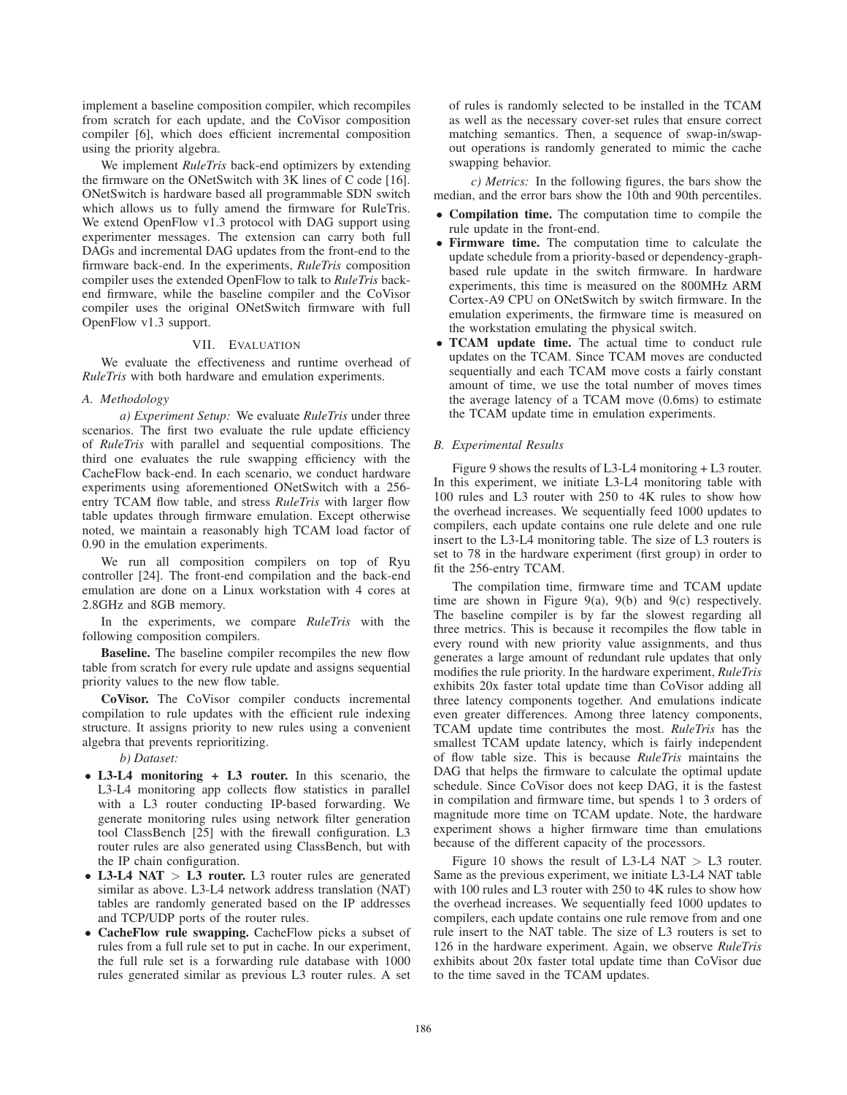implement a baseline composition compiler, which recompiles from scratch for each update, and the CoVisor composition compiler [6], which does efficient incremental composition using the priority algebra.

We implement *RuleTris* back-end optimizers by extending the firmware on the ONetSwitch with  $3K$  lines of C code [16]. ONetSwitch is hardware based all programmable SDN switch which allows us to fully amend the firmware for RuleTris. We extend OpenFlow v1.3 protocol with DAG support using experimenter messages. The extension can carry both full DAGs and incremental DAG updates from the front-end to the firmware back-end. In the experiments, *RuleTris* composition compiler uses the extended OpenFlow to talk to *RuleTris* backend firmware, while the baseline compiler and the CoVisor compiler uses the original ONetSwitch firmware with full OpenFlow v1.3 support.

# VII. EVALUATION

We evaluate the effectiveness and runtime overhead of *RuleTris* with both hardware and emulation experiments.

#### *A. Methodology*

*a) Experiment Setup:* We evaluate *RuleTris* under three scenarios. The first two evaluate the rule update efficiency of *RuleTris* with parallel and sequential compositions. The third one evaluates the rule swapping efficiency with the CacheFlow back-end. In each scenario, we conduct hardware experiments using aforementioned ONetSwitch with a 256 entry TCAM flow table, and stress *RuleTris* with larger flow table updates through firmware emulation. Except otherwise noted, we maintain a reasonably high TCAM load factor of 0.90 in the emulation experiments.

We run all composition compilers on top of Ryu controller [24]. The front-end compilation and the back-end emulation are done on a Linux workstation with 4 cores at 2.8GHz and 8GB memory.

In the experiments, we compare *RuleTris* with the following composition compilers.

Baseline. The baseline compiler recompiles the new flow table from scratch for every rule update and assigns sequential priority values to the new flow table.

CoVisor. The CoVisor compiler conducts incremental compilation to rule updates with the efficient rule indexing structure. It assigns priority to new rules using a convenient algebra that prevents reprioritizing.

*b) Dataset:*

- L3-L4 monitoring + L3 router. In this scenario, the L3-L4 monitoring app collects flow statistics in parallel with a L3 router conducting IP-based forwarding. We generate monitoring rules using network filter generation tool ClassBench  $[25]$  with the firewall configuration. L3 router rules are also generated using ClassBench, but with the IP chain configuration.
- L3-L4 NAT > L3 router. L3 router rules are generated similar as above. L3-L4 network address translation (NAT) tables are randomly generated based on the IP addresses and TCP/UDP ports of the router rules.
- CacheFlow rule swapping. CacheFlow picks a subset of rules from a full rule set to put in cache. In our experiment, the full rule set is a forwarding rule database with 1000 rules generated similar as previous L3 router rules. A set

of rules is randomly selected to be installed in the TCAM as well as the necessary cover-set rules that ensure correct matching semantics. Then, a sequence of swap-in/swapout operations is randomly generated to mimic the cache swapping behavior.

*c) Metrics:* In the following figures, the bars show the median, and the error bars show the 10th and 90th percentiles.

- Compilation time. The computation time to compile the rule update in the front-end.
- Firmware time. The computation time to calculate the update schedule from a priority-based or dependency-graphbased rule update in the switch firmware. In hardware experiments, this time is measured on the 800MHz ARM Cortex-A9 CPU on ONetSwitch by switch firmware. In the emulation experiments, the firmware time is measured on the workstation emulating the physical switch.
- TCAM update time. The actual time to conduct rule updates on the TCAM. Since TCAM moves are conducted sequentially and each TCAM move costs a fairly constant amount of time, we use the total number of moves times the average latency of a TCAM move (0.6ms) to estimate the TCAM update time in emulation experiments.

#### *B. Experimental Results*

Figure 9 shows the results of L3-L4 monitoring + L3 router. In this experiment, we initiate L3-L4 monitoring table with 100 rules and L3 router with 250 to 4K rules to show how the overhead increases. We sequentially feed 1000 updates to compilers, each update contains one rule delete and one rule insert to the L3-L4 monitoring table. The size of L3 routers is set to 78 in the hardware experiment (first group) in order to fit the 256-entry TCAM.

The compilation time, firmware time and TCAM update time are shown in Figure 9(a), 9(b) and 9(c) respectively. The baseline compiler is by far the slowest regarding all three metrics. This is because it recompiles the flow table in every round with new priority value assignments, and thus generates a large amount of redundant rule updates that only modifies the rule priority. In the hardware experiment, *RuleTris* exhibits 20x faster total update time than CoVisor adding all three latency components together. And emulations indicate even greater differences. Among three latency components, TCAM update time contributes the most. *RuleTris* has the smallest TCAM update latency, which is fairly independent of flow table size. This is because *RuleTris* maintains the DAG that helps the firmware to calculate the optimal update schedule. Since CoVisor does not keep DAG, it is the fastest in compilation and firmware time, but spends 1 to 3 orders of magnitude more time on TCAM update. Note, the hardware experiment shows a higher firmware time than emulations because of the different capacity of the processors.

Figure 10 shows the result of L3-L4 NAT  $>$  L3 router. Same as the previous experiment, we initiate L3-L4 NAT table with 100 rules and L3 router with 250 to 4K rules to show how the overhead increases. We sequentially feed 1000 updates to compilers, each update contains one rule remove from and one rule insert to the NAT table. The size of L3 routers is set to 126 in the hardware experiment. Again, we observe *RuleTris* exhibits about 20x faster total update time than CoVisor due to the time saved in the TCAM updates.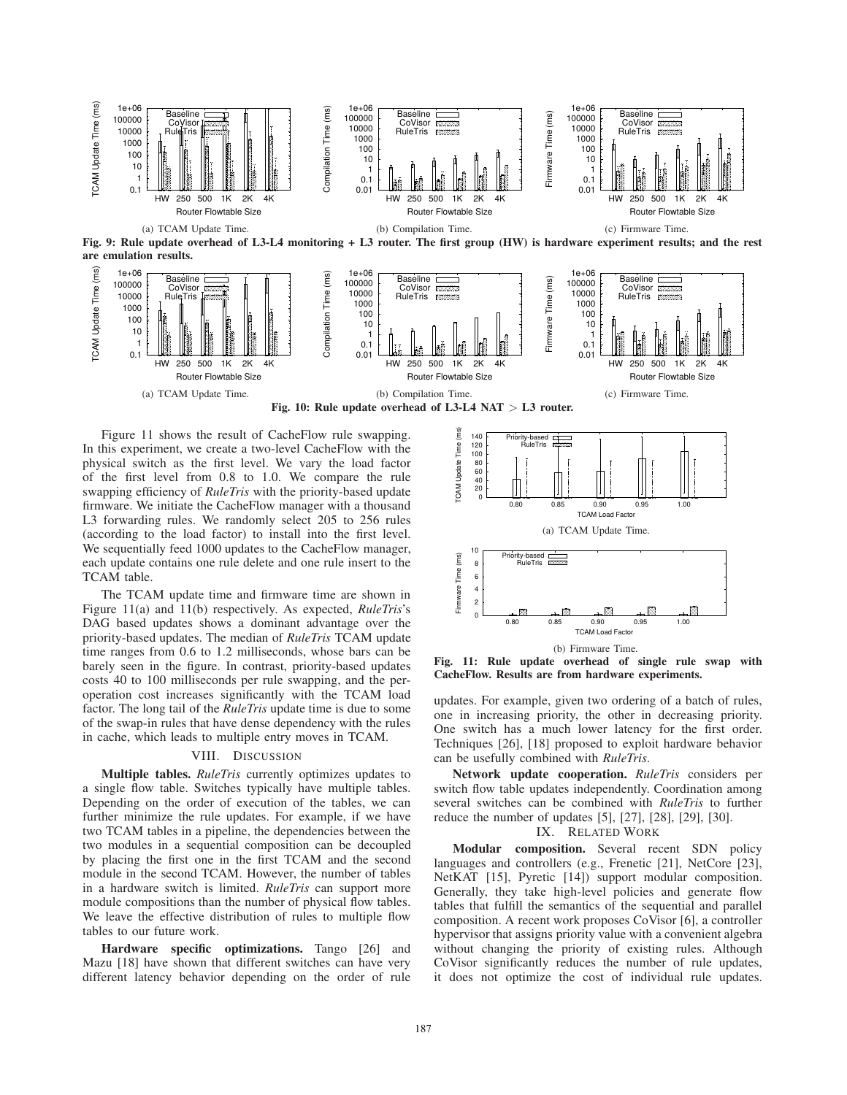

Figure 11 shows the result of CacheFlow rule swapping. In this experiment, we create a two-level CacheFlow with the physical switch as the first level. We vary the load factor of the first level from  $0.8$  to  $1.0$ . We compare the rule swapping efficiency of *RuleTris* with the priority-based update firmware. We initiate the CacheFlow manager with a thousand L3 forwarding rules. We randomly select 205 to 256 rules (according to the load factor) to install into the first level. We sequentially feed 1000 updates to the CacheFlow manager, each update contains one rule delete and one rule insert to the TCAM table.

The TCAM update time and firmware time are shown in Figure 11(a) and 11(b) respectively. As expected, *RuleTris*'s DAG based updates shows a dominant advantage over the priority-based updates. The median of *RuleTris* TCAM update time ranges from 0.6 to 1.2 milliseconds, whose bars can be barely seen in the figure. In contrast, priority-based updates costs 40 to 100 milliseconds per rule swapping, and the peroperation cost increases significantly with the TCAM load factor. The long tail of the *RuleTris* update time is due to some of the swap-in rules that have dense dependency with the rules in cache, which leads to multiple entry moves in TCAM.

## VIII. DISCUSSION

Multiple tables. *RuleTris* currently optimizes updates to a single flow table. Switches typically have multiple tables. Depending on the order of execution of the tables, we can further minimize the rule updates. For example, if we have two TCAM tables in a pipeline, the dependencies between the two modules in a sequential composition can be decoupled by placing the first one in the first TCAM and the second module in the second TCAM. However, the number of tables in a hardware switch is limited. *RuleTris* can support more module compositions than the number of physical flow tables. We leave the effective distribution of rules to multiple flow tables to our future work.

Hardware specific optimizations. Tango [26] and Mazu [18] have shown that different switches can have very different latency behavior depending on the order of rule



Fig. 11: Rule update overhead of single rule swap with CacheFlow. Results are from hardware experiments.

updates. For example, given two ordering of a batch of rules, one in increasing priority, the other in decreasing priority. One switch has a much lower latency for the first order. Techniques [26], [18] proposed to exploit hardware behavior can be usefully combined with *RuleTris*.

Network update cooperation. *RuleTris* considers per switch flow table updates independently. Coordination among several switches can be combined with *RuleTris* to further reduce the number of updates [5], [27], [28], [29], [30].

# IX. RELATED WORK

Modular composition. Several recent SDN policy languages and controllers (e.g., Frenetic [21], NetCore [23], NetKAT [15], Pyretic [14]) support modular composition. Generally, they take high-level policies and generate flow tables that fulfill the semantics of the sequential and parallel composition. A recent work proposes CoVisor [6], a controller hypervisor that assigns priority value with a convenient algebra without changing the priority of existing rules. Although CoVisor signicantly reduces the number of rule updates, it does not optimize the cost of individual rule updates.